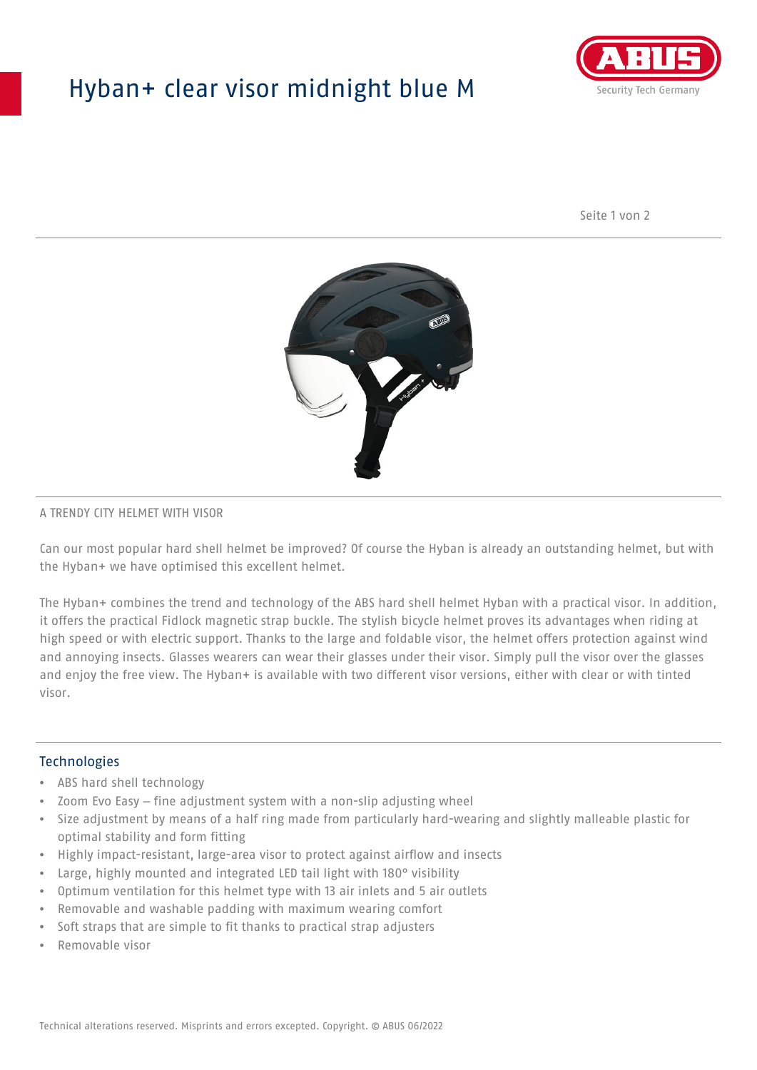## Hyban+ clear visor midnight blue M



Seite 1 von 2



#### A TRENDY CITY HELMET WITH VISOR

Can our most popular hard shell helmet be improved? Of course the Hyban is already an outstanding helmet, but with the Hyban+ we have optimised this excellent helmet.

The Hyban+ combines the trend and technology of the ABS hard shell helmet Hyban with a practical visor. In addition, it offers the practical Fidlock magnetic strap buckle. The stylish bicycle helmet proves its advantages when riding at high speed or with electric support. Thanks to the large and foldable visor, the helmet offers protection against wind and annoying insects. Glasses wearers can wear their glasses under their visor. Simply pull the visor over the glasses and enjoy the free view. The Hyban+ is available with two different visor versions, either with clear or with tinted visor.

#### **Technologies**

- ABS hard shell technology
- Zoom Evo Easy fine adjustment system with a non-slip adjusting wheel
- Size adjustment by means of a half ring made from particularly hard-wearing and slightly malleable plastic for optimal stability and form fitting
- Highly impact-resistant, large-area visor to protect against airflow and insects
- Large, highly mounted and integrated LED tail light with 180° visibility
- Optimum ventilation for this helmet type with 13 air inlets and 5 air outlets
- Removable and washable padding with maximum wearing comfort
- Soft straps that are simple to fit thanks to practical strap adjusters
- Removable visor